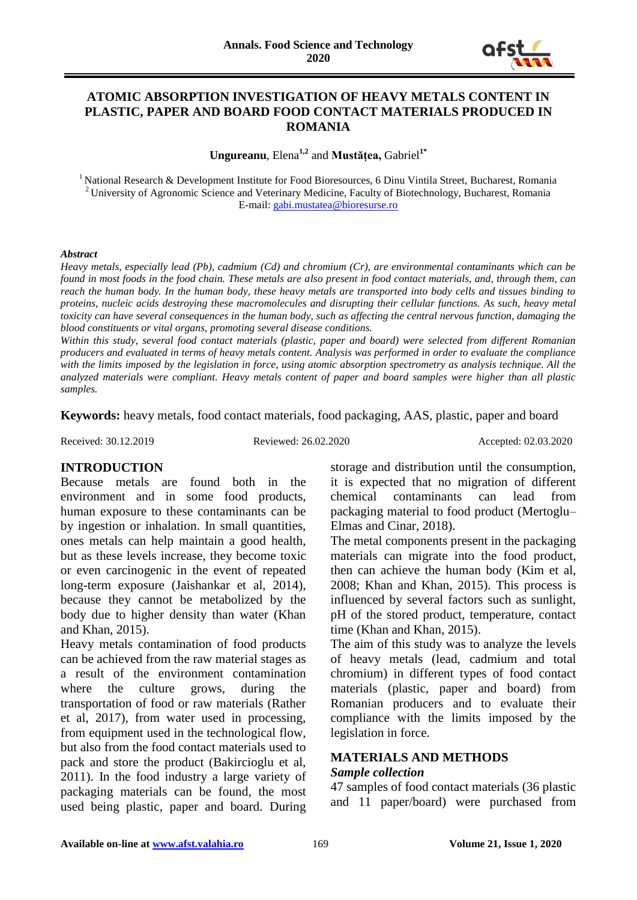

### **ATOMIC ABSORPTION INVESTIGATION OF HEAVY METALS CONTENT IN PLASTIC, PAPER AND BOARD FOOD CONTACT MATERIALS PRODUCED IN ROMANIA**

**Ungureanu**, Elena**1,2** and **Mustățea,** Gabriel**1\***

<sup>1</sup> National Research & Development Institute for Food Bioresources, 6 Dinu Vintila Street, Bucharest, Romania <sup>2</sup> University of Agronomic Science and Veterinary Medicine, Faculty of Biotechnology, Bucharest, Romania E-mail[: gabi.mustatea@bioresurse.ro](mailto:gabi.mustatea@bioresurse.ro)

#### *Abstract*

*Heavy metals, especially lead (Pb), cadmium (Cd) and chromium (Cr), are environmental contaminants which can be found in most foods in the food chain. These metals are also present in food contact materials, and, through them, can reach the human body. In the human body, these heavy metals are transported into body cells and tissues binding to proteins, nucleic acids destroying these macromolecules and disrupting their cellular functions. As such, heavy metal toxicity can have several consequences in the human body, such as affecting the central nervous function, damaging the blood constituents or vital organs, promoting several disease conditions.* 

*Within this study, several food contact materials (plastic, paper and board) were selected from different Romanian producers and evaluated in terms of heavy metals content. Analysis was performed in order to evaluate the compliance with the limits imposed by the legislation in force, using atomic absorption spectrometry as analysis technique. All the analyzed materials were compliant. Heavy metals content of paper and board samples were higher than all plastic samples.* 

**Keywords:** heavy metals, food contact materials, food packaging, AAS, plastic, paper and board

Received: 30.12.2019 Reviewed: 26.02.2020 Accepted: 02.03.2020

### **INTRODUCTION**

Because metals are found both in the environment and in some food products, human exposure to these contaminants can be by ingestion or inhalation. In small quantities, ones metals can help maintain a good health, but as these levels increase, they become toxic or even carcinogenic in the event of repeated long-term exposure (Jaishankar et al, 2014), because they cannot be metabolized by the body due to higher density than water (Khan and Khan, 2015).

Heavy metals contamination of food products can be achieved from the raw material stages as a result of the environment contamination where the culture grows, during the transportation of food or raw materials (Rather et al, 2017), from water used in processing, from equipment used in the technological flow, but also from the food contact materials used to pack and store the product (Bakircioglu et al, 2011). In the food industry a large variety of packaging materials can be found, the most used being plastic, paper and board. During storage and distribution until the consumption, it is expected that no migration of different chemical contaminants can lead from packaging material to food product (Mertoglu– Elmas and Cinar, 2018).

The metal components present in the packaging materials can migrate into the food product, then can achieve the human body (Kim et al, 2008; Khan and Khan, 2015). This process is influenced by several factors such as sunlight, pH of the stored product, temperature, contact time (Khan and Khan, 2015).

The aim of this study was to analyze the levels of heavy metals (lead, cadmium and total chromium) in different types of food contact materials (plastic, paper and board) from Romanian producers and to evaluate their compliance with the limits imposed by the legislation in force.

### **MATERIALS AND METHODS** *Sample collection*

47 samples of food contact materials (36 plastic and 11 paper/board) were purchased from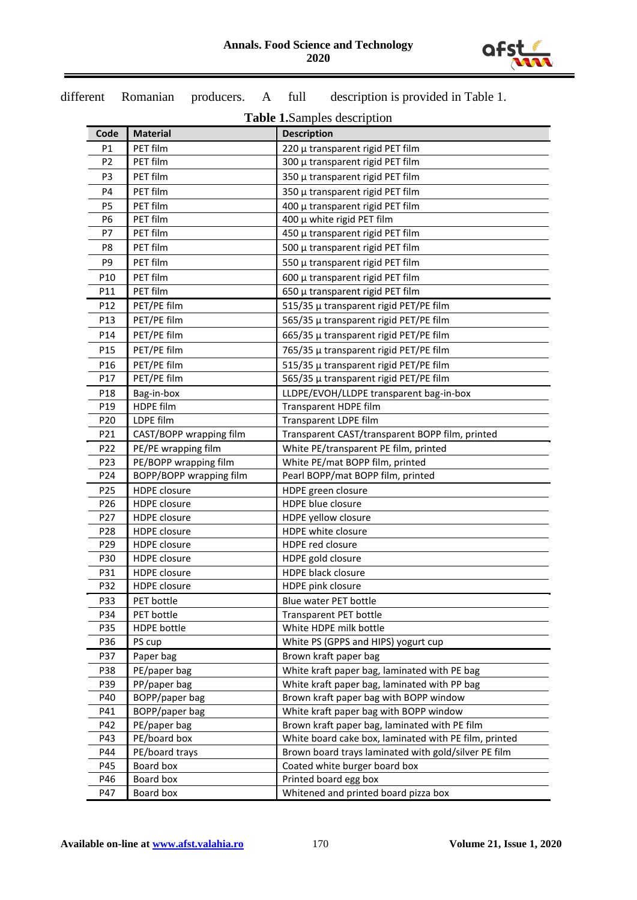

|                        |                                              | <b>Table 1.</b> Samples description                                              |  |  |  |
|------------------------|----------------------------------------------|----------------------------------------------------------------------------------|--|--|--|
| Code                   | <b>Material</b>                              | <b>Description</b>                                                               |  |  |  |
| P1                     | PET film                                     | 220 µ transparent rigid PET film                                                 |  |  |  |
| P <sub>2</sub>         | PET film                                     | 300 µ transparent rigid PET film                                                 |  |  |  |
| P <sub>3</sub>         | PET film                                     | 350 µ transparent rigid PET film                                                 |  |  |  |
| P4                     | PET film                                     | 350 µ transparent rigid PET film                                                 |  |  |  |
| P <sub>5</sub>         | PET film                                     | 400 µ transparent rigid PET film                                                 |  |  |  |
| P6                     | PET film                                     | 400 μ white rigid PET film                                                       |  |  |  |
| P7                     | PET film                                     | 450 µ transparent rigid PET film                                                 |  |  |  |
| P8                     | PET film                                     | 500 µ transparent rigid PET film                                                 |  |  |  |
| P <sub>9</sub>         | PET film                                     | 550 µ transparent rigid PET film                                                 |  |  |  |
| P <sub>10</sub>        | PET film                                     | 600 µ transparent rigid PET film                                                 |  |  |  |
| P11                    | PET film                                     | 650 µ transparent rigid PET film                                                 |  |  |  |
| P12                    | PET/PE film                                  | 515/35 µ transparent rigid PET/PE film                                           |  |  |  |
| P13                    | PET/PE film                                  | 565/35 µ transparent rigid PET/PE film                                           |  |  |  |
| P14                    | PET/PE film                                  | 665/35 µ transparent rigid PET/PE film                                           |  |  |  |
| P15                    | PET/PE film                                  | 765/35 µ transparent rigid PET/PE film                                           |  |  |  |
| P16                    | PET/PE film                                  |                                                                                  |  |  |  |
| P17                    | PET/PE film                                  | 515/35 µ transparent rigid PET/PE film<br>565/35 µ transparent rigid PET/PE film |  |  |  |
|                        |                                              | LLDPE/EVOH/LLDPE transparent bag-in-box                                          |  |  |  |
| P <sub>18</sub><br>P19 | Bag-in-box<br><b>HDPE film</b>               | Transparent HDPE film                                                            |  |  |  |
| P20                    | LDPE film                                    | Transparent LDPE film                                                            |  |  |  |
| P21                    | CAST/BOPP wrapping film                      | Transparent CAST/transparent BOPP film, printed                                  |  |  |  |
| P22                    |                                              | White PE/transparent PE film, printed                                            |  |  |  |
| P <sub>23</sub>        | PE/PE wrapping film<br>PE/BOPP wrapping film | White PE/mat BOPP film, printed                                                  |  |  |  |
| P24                    | BOPP/BOPP wrapping film                      | Pearl BOPP/mat BOPP film, printed                                                |  |  |  |
| P <sub>25</sub>        | <b>HDPE</b> closure                          | HDPE green closure                                                               |  |  |  |
| P <sub>26</sub>        | <b>HDPE</b> closure                          | HDPE blue closure                                                                |  |  |  |
| P27                    | <b>HDPE</b> closure                          | HDPE yellow closure                                                              |  |  |  |
| P <sub>28</sub>        | <b>HDPE</b> closure                          | HDPE white closure                                                               |  |  |  |
| P29                    | <b>HDPE</b> closure                          | HDPE red closure                                                                 |  |  |  |
| P30                    | <b>HDPE</b> closure                          | HDPE gold closure                                                                |  |  |  |
| P31                    | HDPE closure                                 | HDPE black closure                                                               |  |  |  |
| P32                    | HDPE closure                                 | HDPE pink closure                                                                |  |  |  |
| P33                    | PET bottle                                   | Blue water PET bottle                                                            |  |  |  |
| P34                    | PET bottle                                   | <b>Transparent PET bottle</b>                                                    |  |  |  |
| P35                    | <b>HDPE</b> bottle                           | White HDPE milk bottle                                                           |  |  |  |
| P36                    | PS cup                                       | White PS (GPPS and HIPS) yogurt cup                                              |  |  |  |
| P37                    | Paper bag                                    | Brown kraft paper bag                                                            |  |  |  |
| P38                    | PE/paper bag                                 | White kraft paper bag, laminated with PE bag                                     |  |  |  |
| P39                    | PP/paper bag                                 | White kraft paper bag, laminated with PP bag                                     |  |  |  |
| P40                    | BOPP/paper bag                               | Brown kraft paper bag with BOPP window                                           |  |  |  |
| P41                    | BOPP/paper bag                               | White kraft paper bag with BOPP window                                           |  |  |  |
| P42                    | PE/paper bag                                 | Brown kraft paper bag, laminated with PE film                                    |  |  |  |
| P43                    | PE/board box                                 | White board cake box, laminated with PE film, printed                            |  |  |  |
| P44                    | PE/board trays                               | Brown board trays laminated with gold/silver PE film                             |  |  |  |
| P45                    | Board box                                    | Coated white burger board box                                                    |  |  |  |
| P46                    | Board box                                    | Printed board egg box                                                            |  |  |  |
| P47                    | Board box                                    | Whitened and printed board pizza box                                             |  |  |  |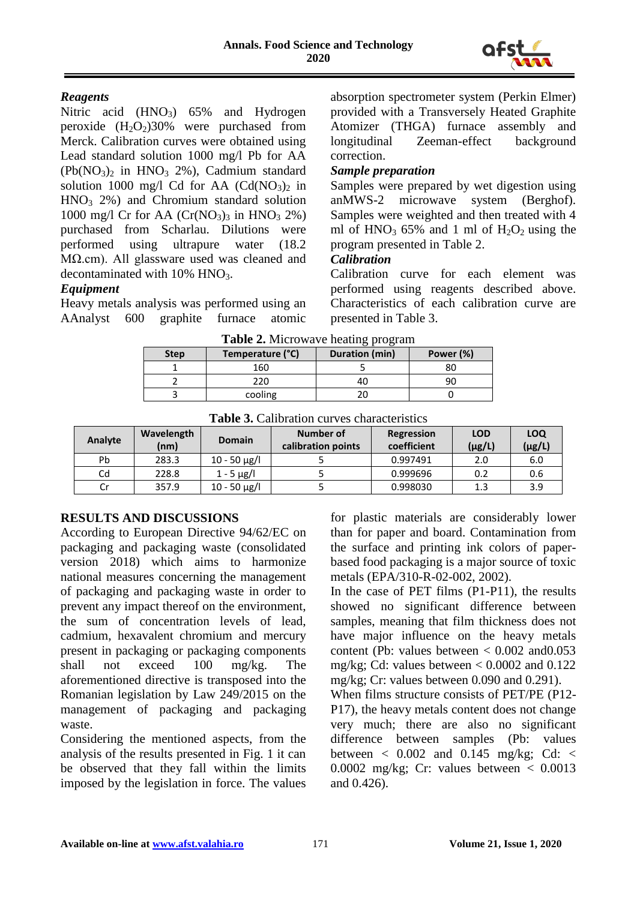

### *Reagents*

Nitric acid  $(HNO<sub>3</sub>)$  65% and Hydrogen peroxide  $(H_2O_2)30\%$  were purchased from Merck. Calibration curves were obtained using Lead standard solution 1000 mg/l Pb for AA  $(Pb(NO_3)$ <sub>2</sub> in HNO<sub>3</sub> 2%), Cadmium standard solution 1000 mg/l Cd for AA  $(Cd(NO_3))$  in  $HNO<sub>3</sub> 2%$  and Chromium standard solution 1000 mg/l Cr for AA  $(Cr(NO_3))_3$  in HNO<sub>3</sub> 2%) purchased from Scharlau. Dilutions were performed using ultrapure water (18.2 MΩ.cm). All glassware used was cleaned and decontaminated with  $10\%$  HNO<sub>3</sub>.

# *Equipment*

Heavy metals analysis was performed using an AAnalyst 600 graphite furnace atomic

absorption spectrometer system (Perkin Elmer) provided with a Transversely Heated Graphite Atomizer (THGA) furnace assembly and longitudinal Zeeman-effect background correction.

### *Sample preparation*

Samples were prepared by wet digestion using anMWS-2 microwave system (Berghof). Samples were weighted and then treated with 4 ml of  $HNO<sub>3</sub>$  65% and 1 ml of  $H<sub>2</sub>O<sub>2</sub>$  using the program presented in Table 2.

### *Calibration*

Calibration curve for each element was performed using reagents described above. Characteristics of each calibration curve are presented in Table 3.

| <b>Step</b> | Temperature (°C) | <b>Duration (min)</b> | Power (%) |  |
|-------------|------------------|-----------------------|-----------|--|
|             | 160              |                       |           |  |
|             | 220.             | 40                    |           |  |
|             | cooling          |                       |           |  |

**Table 2.** Microwave heating program

| <b>Table 5.</b> Calibration curves characteristics |            |                   |                    |             |             |             |  |  |  |  |
|----------------------------------------------------|------------|-------------------|--------------------|-------------|-------------|-------------|--|--|--|--|
| Analyte                                            | Wavelength | <b>Domain</b>     | Number of          | Regression  | <b>LOD</b>  | LOQ         |  |  |  |  |
|                                                    | (nm)       |                   | calibration points | coefficient | $(\mu g/L)$ | $(\mu g/L)$ |  |  |  |  |
| Pb                                                 | 283.3      | $10 - 50 \mu g/l$ |                    | 0.997491    | 2.0         | 6.0         |  |  |  |  |
| Cd                                                 | 228.8      | $1 - 5 \mu g/l$   |                    | 0.999696    | 0.2         | 0.6         |  |  |  |  |
| Cr                                                 | 357.9      | $10 - 50 \mu g/l$ |                    | 0.998030    | 1.3         | 3.9         |  |  |  |  |

### **Table 3.** Calibration curves characteristics

# **RESULTS AND DISCUSSIONS**

According to European Directive 94/62/EC on packaging and packaging waste (consolidated version 2018) which aims to harmonize national measures concerning the management of packaging and packaging waste in order to prevent any impact thereof on the environment, the sum of concentration levels of lead, cadmium, hexavalent chromium and mercury present in packaging or packaging components shall not exceed 100 mg/kg. The aforementioned directive is transposed into the Romanian legislation by Law 249/2015 on the management of packaging and packaging waste.

Considering the mentioned aspects, from the analysis of the results presented in Fig. 1 it can be observed that they fall within the limits imposed by the legislation in force. The values for plastic materials are considerably lower than for paper and board. Contamination from the surface and printing ink colors of paperbased food packaging is a major source of toxic metals (EPA/310-R-02-002, 2002).

In the case of PET films (P1-P11), the results showed no significant difference between samples, meaning that film thickness does not have major influence on the heavy metals content (Pb: values between  $\lt$  0.002 and 0.053 mg/kg; Cd: values between  $< 0.0002$  and  $0.122$ mg/kg; Cr: values between 0.090 and 0.291).

When films structure consists of PET/PE (P12- P17), the heavy metals content does not change very much; there are also no significant difference between samples (Pb: values between  $\langle 0.002 \text{ and } 0.145 \text{ mg/kg} \rangle$ ; Cd:  $\langle$ 0.0002 mg/kg; Cr: values between  $\lt$  0.0013 and 0.426).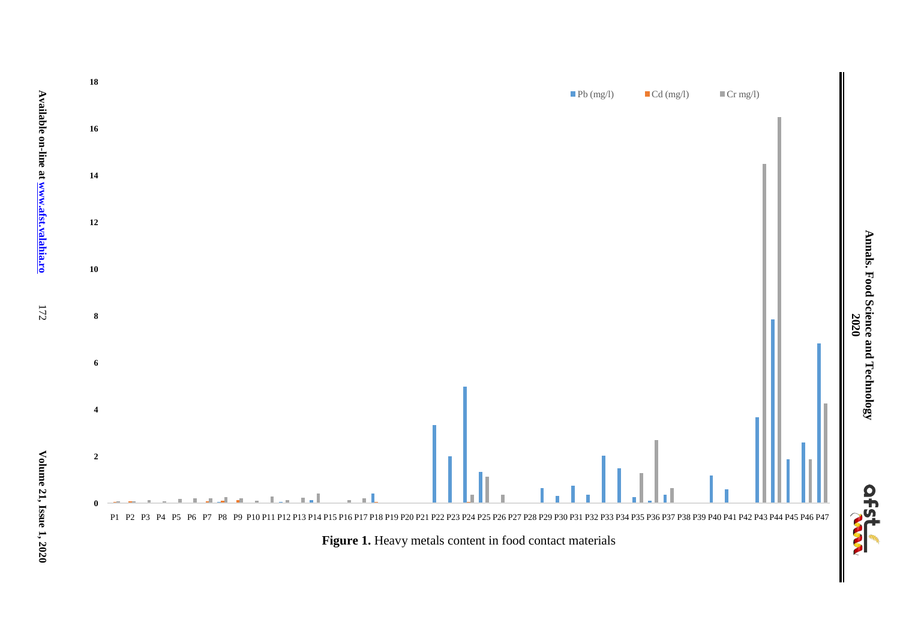

**Annals. Food Science and Technology**  Annals. Food Science and Technology<br>  $2020$ 

**Available on-line at www.afst.valahia.ro**